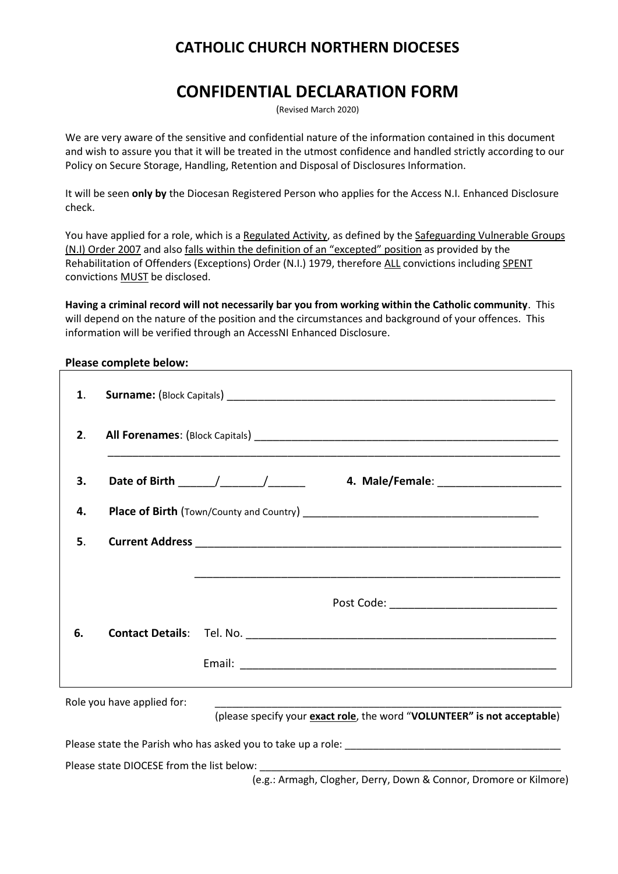## **CATHOLIC CHURCH NORTHERN DIOCESES**

# **CONFIDENTIAL DECLARATION FORM**

(Revised March 2020)

We are very aware of the sensitive and confidential nature of the information contained in this document and wish to assure you that it will be treated in the utmost confidence and handled strictly according to our Policy on Secure Storage, Handling, Retention and Disposal of Disclosures Information.

It will be seen **only by** the Diocesan Registered Person who applies for the Access N.I. Enhanced Disclosure check.

You have applied for a role, which is a Regulated Activity, as defined by the Safeguarding Vulnerable Groups (N.I) Order 2007 and also falls within the definition of an "excepted" position as provided by the Rehabilitation of Offenders (Exceptions) Order (N.I.) 1979, therefore ALL convictions including SPENT convictions MUST be disclosed.

**Having a criminal record will not necessarily bar you from working within the Catholic community**. This will depend on the nature of the position and the circumstances and background of your offences. This information will be verified through an AccessNI Enhanced Disclosure.

#### **Please complete below:**

| 1. |                            |                                                                          |  |  |  |  |
|----|----------------------------|--------------------------------------------------------------------------|--|--|--|--|
| 2. |                            |                                                                          |  |  |  |  |
| 3. |                            |                                                                          |  |  |  |  |
| 4. |                            |                                                                          |  |  |  |  |
| 5. |                            |                                                                          |  |  |  |  |
|    |                            |                                                                          |  |  |  |  |
|    |                            | Post Code: __________________________________                            |  |  |  |  |
| 6. |                            |                                                                          |  |  |  |  |
|    |                            |                                                                          |  |  |  |  |
|    | Role you have applied for: | (please specify your exact role, the word "VOLUNTEER" is not acceptable) |  |  |  |  |
|    |                            |                                                                          |  |  |  |  |

Please state DIOCESE from the list below:

(e.g.: Armagh, Clogher, Derry, Down & Connor, Dromore or Kilmore)